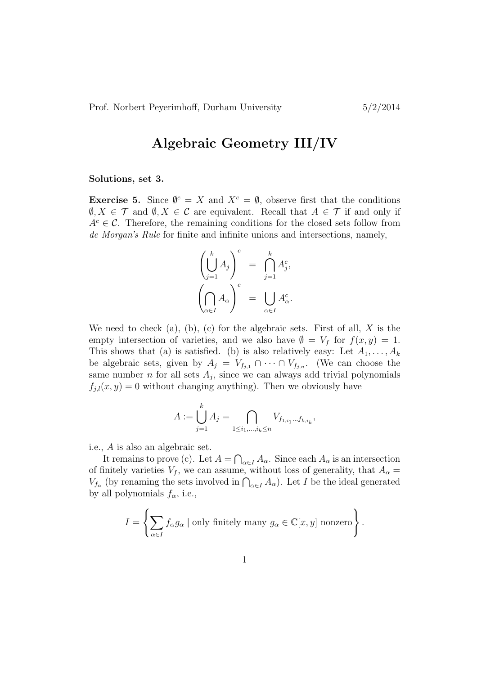## Algebraic Geometry III/IV

## Solutions, set 3.

**Exercise 5.** Since  $\mathbf{\emptyset}^c = X$  and  $X^c = \mathbf{\emptyset}$ , observe first that the conditions  $\emptyset, X \in \mathcal{T}$  and  $\emptyset, X \in \mathcal{C}$  are equivalent. Recall that  $A \in \mathcal{T}$  if and only if  $A^c \in \mathcal{C}$ . Therefore, the remaining conditions for the closed sets follow from de Morgan's Rule for finite and infinite unions and intersections, namely,

$$
\left(\bigcup_{j=1}^{k} A_j\right)^c = \bigcap_{j=1}^{k} A_j^c,
$$

$$
\left(\bigcap_{\alpha \in I} A_\alpha\right)^c = \bigcup_{\alpha \in I} A_\alpha^c.
$$

We need to check (a), (b), (c) for the algebraic sets. First of all,  $X$  is the empty intersection of varieties, and we also have  $\emptyset = V_f$  for  $f(x, y) = 1$ . This shows that (a) is satisfied. (b) is also relatively easy: Let  $A_1, \ldots, A_k$ be algebraic sets, given by  $A_j = V_{f_{j,1}} \cap \cdots \cap V_{f_{j,n}}$ . (We can choose the same number *n* for all sets  $A_j$ , since we can always add trivial polynomials  $f_{j,l}(x, y) = 0$  without changing anything). Then we obviously have

$$
A := \bigcup_{j=1}^{k} A_j = \bigcap_{1 \le i_1, \dots, i_k \le n} V_{f_{1,i_1} \dots f_{k,i_k}},
$$

i.e., A is also an algebraic set.

It remains to prove (c). Let  $A = \bigcap_{\alpha \in I} A_{\alpha}$ . Since each  $A_{\alpha}$  is an intersection of finitely varieties  $V_f$ , we can assume, without loss of generality, that  $A_\alpha =$  $V_{f_{\alpha}}$  (by renaming the sets involved in  $\bigcap_{\alpha \in I} A_{\alpha}$ ). Let I be the ideal generated by all polynomials  $f_{\alpha}$ , i.e.,

$$
I = \left\{ \sum_{\alpha \in I} f_{\alpha} g_{\alpha} \mid \text{only finitely many } g_{\alpha} \in \mathbb{C}[x, y] \text{ nonzero} \right\}.
$$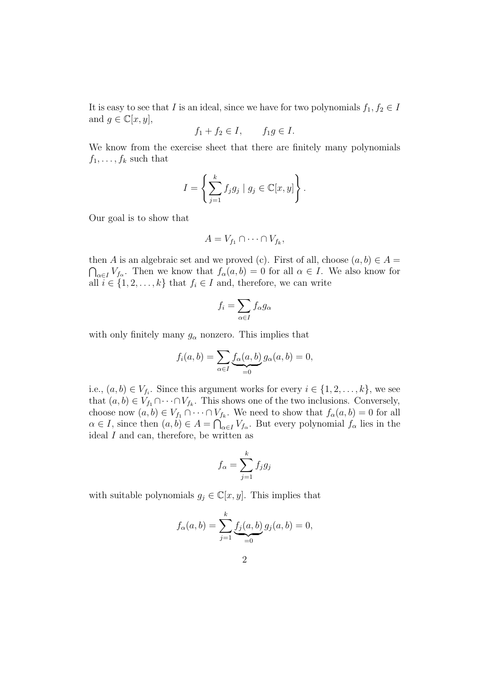It is easy to see that I is an ideal, since we have for two polynomials  $f_1, f_2 \in I$ and  $g \in \mathbb{C}[x, y]$ ,

$$
f_1 + f_2 \in I, \qquad f_1 g \in I.
$$

We know from the exercise sheet that there are finitely many polynomials  $f_1, \ldots, f_k$  such that

$$
I = \left\{ \sum_{j=1}^{k} f_j g_j \mid g_j \in \mathbb{C}[x, y] \right\}.
$$

Our goal is to show that

$$
A = V_{f_1} \cap \dots \cap V_{f_k},
$$

then A is an algebraic set and we proved (c). First of all, choose  $(a, b) \in A =$  $\bigcap_{\alpha \in I} V_{f_\alpha}$ . Then we know that  $f_\alpha(a, b) = 0$  for all  $\alpha \in I$ . We also know for all  $i \in \{1, 2, \ldots, k\}$  that  $f_i \in I$  and, therefore, we can write

$$
f_i = \sum_{\alpha \in I} f_{\alpha} g_{\alpha}
$$

with only finitely many  $g_{\alpha}$  nonzero. This implies that

$$
f_i(a,b) = \sum_{\alpha \in I} \underbrace{f_\alpha(a,b)}_{=0} g_\alpha(a,b) = 0,
$$

i.e.,  $(a, b) \in V_{f_i}$ . Since this argument works for every  $i \in \{1, 2, ..., k\}$ , we see that  $(a, b) \in V_{f_1} \cap \cdots \cap V_{f_k}$ . This shows one of the two inclusions. Conversely, choose now  $(a, b) \in V_{f_1} \cap \cdots \cap V_{f_k}$ . We need to show that  $f_{\alpha}(a, b) = 0$  for all  $\alpha \in I$ , since then  $(a, b) \in A = \bigcap_{\alpha \in I} V_{f_\alpha}$ . But every polynomial  $f_\alpha$  lies in the ideal  $I$  and can, therefore, be written as

$$
f_{\alpha} = \sum_{j=1}^{k} f_j g_j
$$

with suitable polynomials  $g_i \in \mathbb{C}[x, y]$ . This implies that

$$
f_{\alpha}(a,b) = \sum_{j=1}^{k} \underbrace{f_j(a,b)}_{=0} g_j(a,b) = 0,
$$